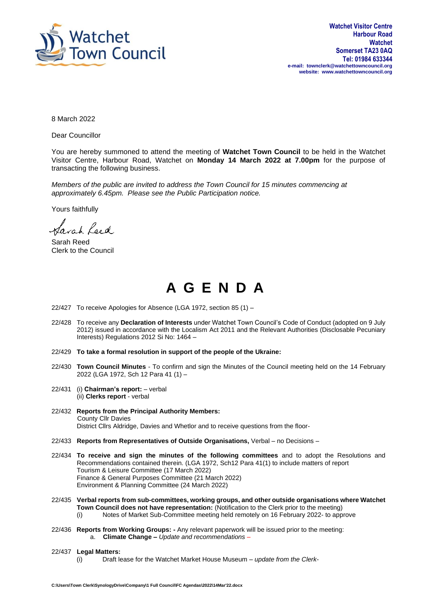

8 March 2022

Dear Councillor

You are hereby summoned to attend the meeting of **Watchet Town Council** to be held in the Watchet Visitor Centre, Harbour Road, Watchet on **Monday 14 March 2022 at 7.00pm** for the purpose of transacting the following business.

*Members of the public are invited to address the Town Council for 15 minutes commencing at approximately 6.45pm. Please see the Public Participation notice.*

Yours faithfully

Sarah Leed

Sarah Reed Clerk to the Council

## **A G E N D A**

- 22/427 To receive Apologies for Absence (LGA 1972, section 85 (1) –
- 22/428 To receive any **Declaration of Interests** under Watchet Town Council's Code of Conduct (adopted on 9 July 2012) issued in accordance with the Localism Act 2011 and the Relevant Authorities (Disclosable Pecuniary Interests) Regulations 2012 Si No: 1464 –
- 22/429 **To take a formal resolution in support of the people of the Ukraine:**
- 22/430 **Town Council Minutes** To confirm and sign the Minutes of the Council meeting held on the 14 February 2022 (LGA 1972, Sch 12 Para 41 (1) –
- 22/431 (i) **Chairman's report:** verbal (ii) **Clerks report** - verbal
- 22/432 **Reports from the Principal Authority Members:** County Cllr Davies District Cllrs Aldridge, Davies and Whetlor and to receive questions from the floor-
- 22/433 **Reports from Representatives of Outside Organisations,** Verbal no Decisions –
- 22/434 **To receive and sign the minutes of the following committees** and to adopt the Resolutions and Recommendations contained therein. (LGA 1972, Sch12 Para 41(1) to include matters of report Tourism & Leisure Committee (17 March 2022) Finance & General Purposes Committee (21 March 2022) Environment & Planning Committee (24 March 2022)
- 22/435 **Verbal reports from sub-committees, working groups, and other outside organisations where Watchet Town Council does not have representation:** (Notification to the Clerk prior to the meeting) (i) Notes of Market Sub-Committee meeting held remotely on 16 February 2022- to approve
- 22/436 **Reports from Working Groups: -** Any relevant paperwork will be issued prior to the meeting:
	- a. **Climate Change –** *Update and recommendations –*
- 22/437 **Legal Matters:** (i) Draft lease for the Watchet Market House Museum – *update from the Clerk-*